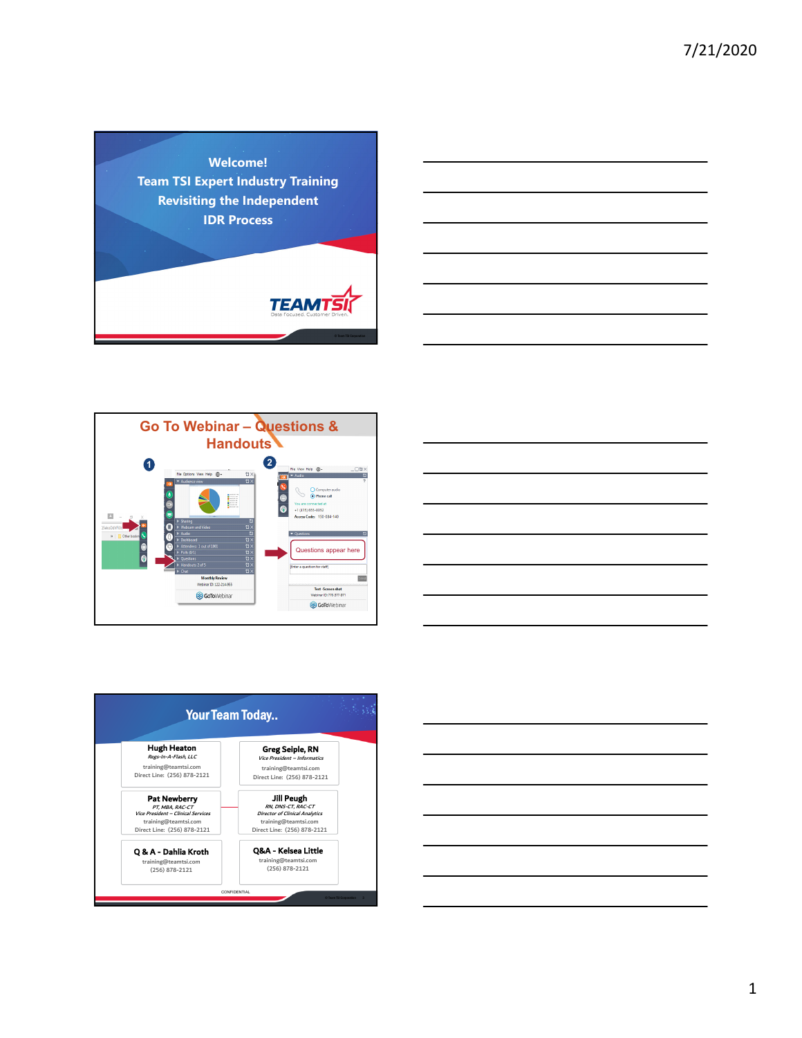







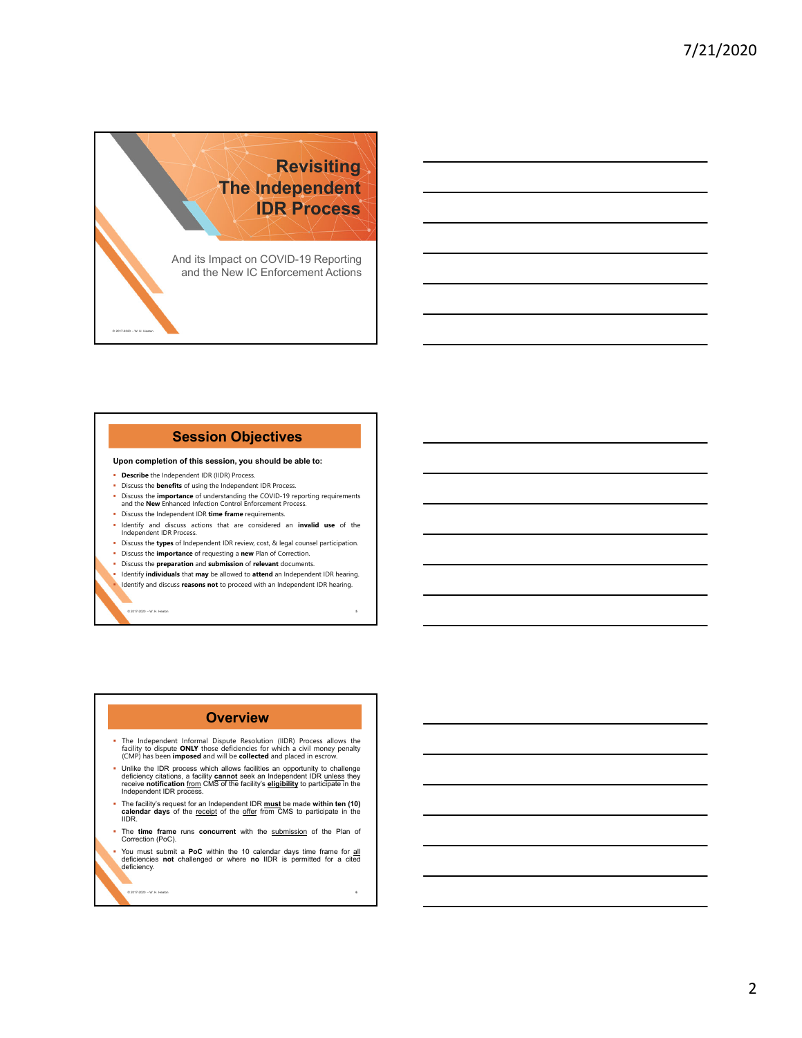![](_page_1_Picture_1.jpeg)

# **Session Objectives**

#### **Upon completion of this session, you should be able to:**

**Describe** the Independent IDR (IIDR) Process.

© 2017-2020 – W. H. Heaton **5**

© 2017-2020 – W. H. Heaton

- Discuss the **benefits** of using the Independent IDR Process.
- Discuss the **importance** of understanding the COVID-19 reporting requirements and the **New** Enhanced Infection Control Enforcement Process. Discuss the Independent IDR **time frame** requirements.
- Identify and discuss actions that are considered an **invalid use** of the Independent IDR Process.
- Discuss the **types** of Independent IDR review, cost, & legal counsel participation.
- Discuss the **importance** of requesting a **new** Plan of Correction.
- Discuss the **preparation** and **submission** of **relevant** documents.
- Identify **individuals** that **may** be allowed to **attend** an Independent IDR hearing. Identify and discuss **reasons not** to proceed with an Independent IDR hearing.

# **Overview**

- The Independent Informal Dispute Resolution (IIDR) Process allows the<br>facility to dispute **ONLY those deficiencies for which a** civil money penalty<br>(CMP) has been **imposed** and will be **collected** and placed in escrow.
- Unlike the IDR process which allows facilities an opportunity to challenge<br>deficiency citations, a facility **cannot** seek an Independent IDR <u>unless</u> they<br>receive **notification** from CMS of the facility's **eligibility** t
- The facility's request for an Independent IDR **must** be made **within ten (10) calendar days** of the receipt of the offer from CMS to participate in the IIDR.
- The **time frame** runs **concurrent** with the submission of the Plan of Correction (PoC).
- You must submit a **PoC** within the 10 calendar days time frame for all deficiencies **not** challenged or where **no** IIDR is permitted for a cited deficiency.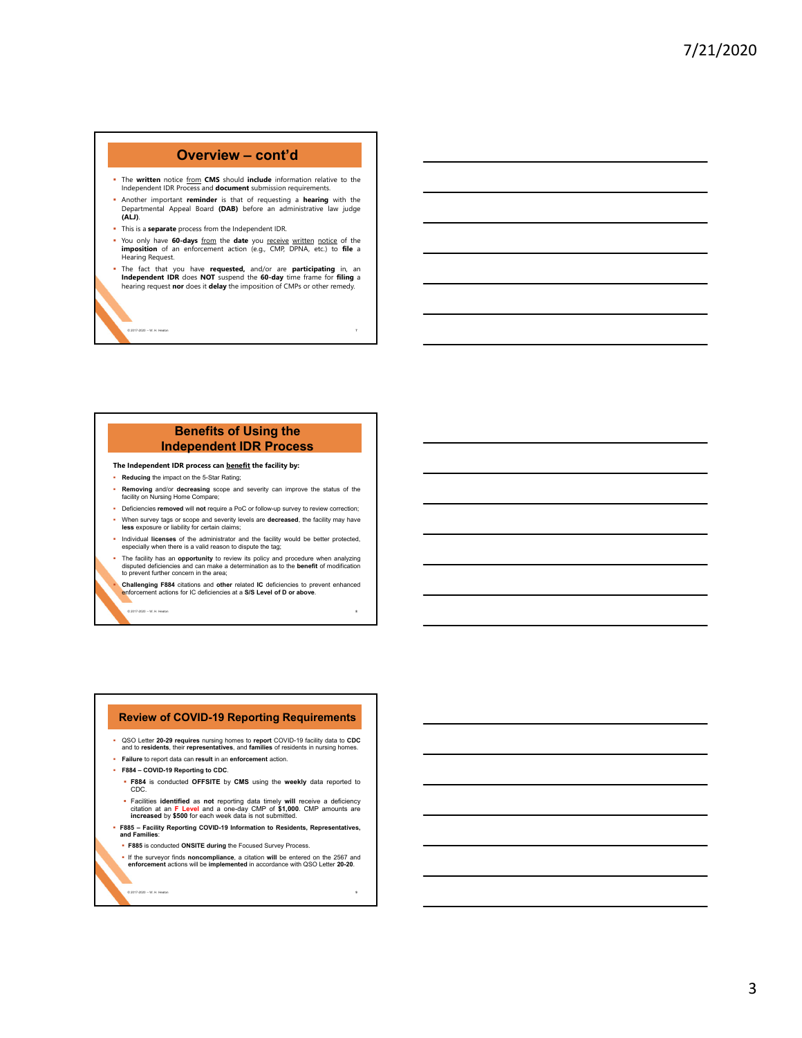# **Overview – cont'd**

- The **written** notice **from CMS** should **include** information relative to the Independent IDR Process and **document** submission requirements.
- Another important **reminder** is that of requesting a **hearing** with the Departmental Appeal Board **(DAB)** before an administrative law judge **(ALJ)**.
- This is a **separate** process from the Independent IDR.
- You only have **60-days** from the **date** you receive written notice of the **imposition** of an enforcement action (e.g., CMP, DPNA, etc.) to **file** a Hearing Request.
- The fact that you have **requested,** and/or are **participating** in, an **Independent IDR** does **NOT** suspend the **60-day** time frame for **filing** a hearing request **nor** does it **delay** the imposition of CMPs or other remedy.

© 2017-2020 – W. H. Heaton **7**

# **Benefits of Using the Independent IDR Process**

**The Independent IDR process can benefit the facility by:**

**Reducing** the impact on the 5-Star Rating;

© 2017-2020 – W. H. Heaton **8**

- **Removing** and/or **decreasing** scope and severity can improve the status of the facility on Nursing Home Compare;
- Deficiencies **removed** will **not** require a PoC or follow-up survey to review correction; When survey tags or scope and severity levels are **decreased**, the facility may have
- **less** exposure or liability for certain claims;
- Individual **licenses** of the administrator and the facility would be better protected, especially when there is a valid reason to dispute the tag;
- The facility has an **opportunity** to review its policy and procedure when analyzing disputed deficiencies and can make a determination as to the **benefit** of modification to prevent further concern in the area;

**Challenging F884** citations and **other** related **IC** deficiencies to prevent enhanced enforcement actions for IC deficiencies at a **S/S Level of D or above**.

**Review of COVID-19 Reporting Requirements** 

- QSO Letter **20-29 requires** nursing homes to **report** COVID-19 facility data to **CDC** and to **residents**, their **representatives**, and **families** of residents in nursing homes. **Failure** to report data can **result** in an **enforcement** action.
- 
- **F884 COVID-19 Reporting to CDC**.
	- **F884** is conducted **OFFSITE** by **CMS** using the **weekly** data reported to CDC.
	- Facilities identified as not reporting data timely will receive a deficiency<br>citation at an F Level and a one-day CMP of \$1,000. CMP amounts are<br>increased by \$500 for each week data is not submitted.

**F885 – Facility Reporting COVID-19 Information to Residents, Representatives, and Families**:

- **F885** is conducted **ONSITE during** the Focused Survey Process.
- If the surveyor finds **noncompliance**, a citation **will** be entered on the 2567 and **enforcement** actions will be **implemented** in accordance with QSO Letter **20-20**.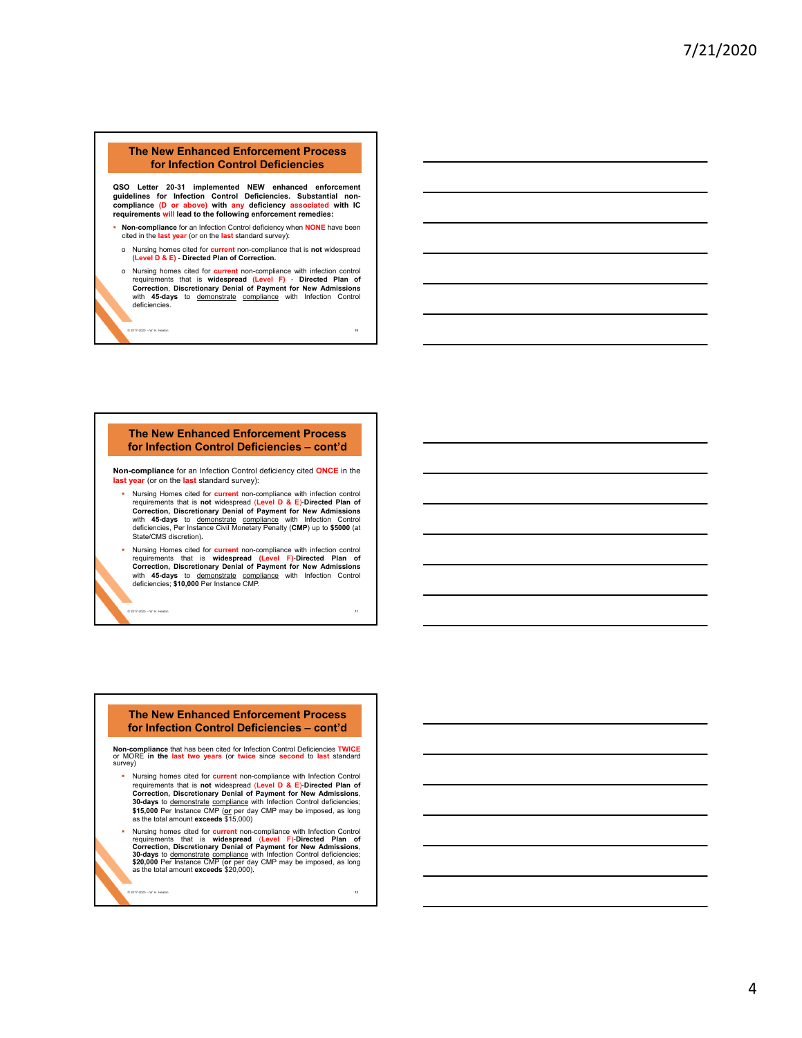### **The New Enhanced Enforcement Process for Infection Control Deficiencies**

**QSO Letter 20-31 implemented NEW enhanced enforcement guidelines for Infection Control Deficiencies. Substantial non-compliance (D or above) with any deficiency associated with IC requirements will lead to the following enforcement remedies:**

- **Non-compliance** for an Infection Control deficiency when **NONE** have been cited in the **last year** (or on the **last** standard survey):
- o Nursing homes cited for **current** non-compliance that is **not** widespread **(Level D & E)** - **Directed Plan of Correction.**
- o Nursing homes cited for **current** non-compliance with infection control requirements that is **widespread (Level F)** - **Directed Plan of Correction**, **Discretionary Denial of Payment for New Admissions** with **45-days** to <u>demonstrate compliance</u> with Infection Control<br>deficiencies.

© 2017-2020 – W. H. Heaton **10**

### **The New Enhanced Enforcement Process for Infection Control Deficiencies – cont'd**

**Non-compliance** for an Infection Control deficiency cited **ONCE** in the **last year** (or on the **last** standard survey):

- Nursing Homes cited for **current** non-compliance with infection control requirements that is **not** widespread (**Level D & E**)-**Directed Plan of Correction, Discretionary Denial of Payment for New Admissions** with **45-days** to demonstrate compliance with Infection Control deficiencies, Per Instance Civil Monetary Penalty (**CMP**) up to **\$5000** (at State/CMS discretion)**.**
- Nursing Homes cited for **current** non-compliance with infection control requirements that is **widespread (Level F)**-**Directed Plan of Correction, Discretionary Denial of Payment for New Admissions** with **45-days** to demonstrate compliance with Infection Control deficiencies; **\$10,000** Per Instance CMP.

© 2017-2020 – W. H. Heaton **11**

#### **The New Enhanced Enforcement Process for Infection Control Deficiencies – cont'd**

**Non-compliance** that has been cited for Infection Control Deficiencies **TWICE** or MORE **in the last two years** (or **twice** since **second** to **last** standard survey)

- Nursing homes cited for **current** non-compliance with Infection Control requirements that is **not** widespread (**Level D & E**)-**Directed Plan of Correction, Discretionary Denial of Payment for New Admissions**, **30-days** to demonstrate compliance with Infection Control deficiencies; **\$15,000** Per Instance CMP (**or** per day CMP may be imposed, as long as the total amount **exceeds** \$15,000)
- Nursing homes cited for **current** non-compliance with Infection Control<br>requirements that is **widespread (Level F)-Directed Plan of**<br>Correction, Discretionary Denial of Payment for New Admissions,<br>30-days to <u>demonstrate</u>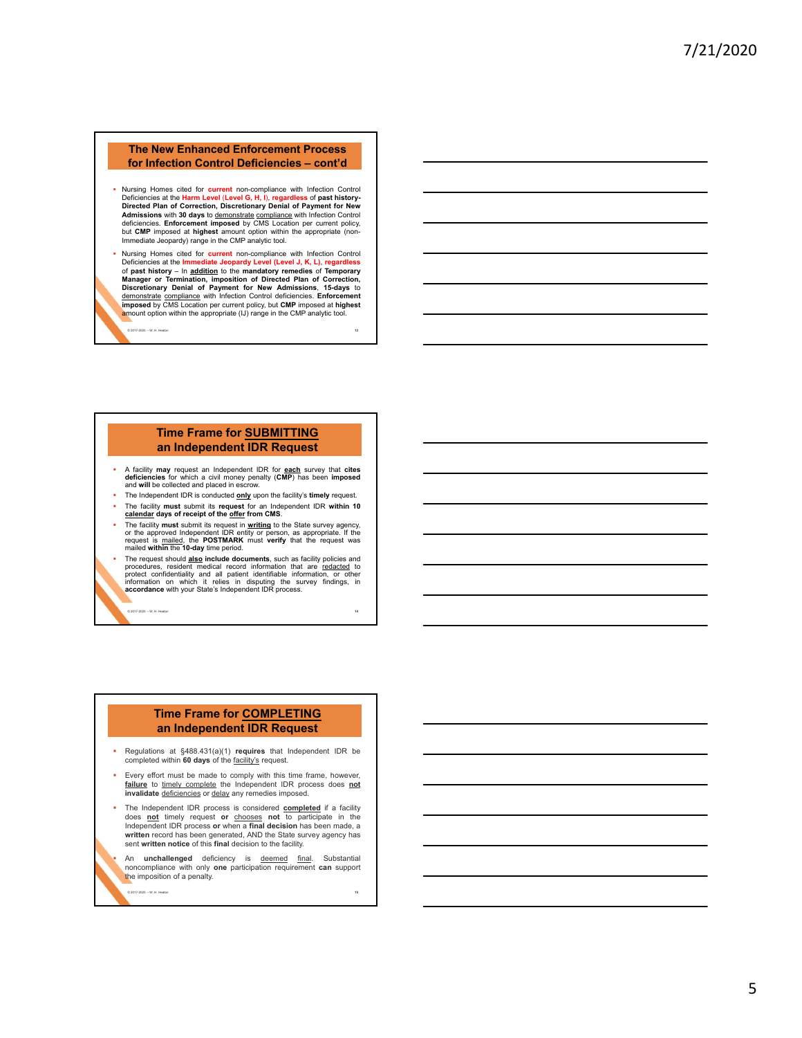### **The New Enhanced Enforcement Process for Infection Control Deficiencies – cont'd**

- Nursing Homes cited for current non-compliance with Infection Control<br>Deficiencies at the Harm Level (Level G, H, I), regardless of past history-<br>Directed Plan of Correction, Discretionary Denial of Payment for New **Admissions** with **30 days** to <u>demonstrate compliance</u> with Infection Control<br>deficiencies. Enforc**ement imposed** by CMS Location per current policy,<br>but CMP imposed at h**ighest amount option within the appropriate** (non-Immediate Jeopardy) range in the CMP analytic tool.
- Nursing Homes cited for **current** non-compliance with Infection Control Deficiencies at the **Immediate Jeopardy Level (Level J, K, L)**, **regardless** of **past history** – In **addition** to the **mandatory remedies** of **Temporary Manager or Termination, imposition of Directed Plan of Correction, Discretionary Denial of Payment for New Admissions**, **15-days** to <u>demonstrate compliance</u> with Infection Control deficiencies. **Enforcement**<br>i**mposed** by CMS Location per current policy, but **CMP** imposed at **highest**<br><mark>àr</mark>nount option within the appropriate (IJ) range in the CMP analyti

© 2017-2020 – W. H. Heaton **13**

### **Time Frame for SUBMITTING an Independent IDR Request**

- A facility may request an Independent IDR for each survey that cites<br>deficiencies for which a civil money penalty (CMP) has been imposed<br>and will be collected and placed in escrow.
- The Independent IDR is conducted **only** upon the facility's **timely** request. The facility **must** submit its **request** for an Independent IDR **within 10**
- **calendar days of receipt of the offer from CMS**. The facility must submit its request in **writing** to the State survey agency, or the approved Independent IDR entity or person, as appropriate. If the request is mailed, the **POSTMARK** must **verify** that the request was ma
- The request should **also include documents**, such as facility policies and procedures, resident medical record information that are <u>redacted</u> to protect confidentiality and all patient identifiable information, or other i

© 2017-2020 – W. H. Heaton **14**

# **Time Frame for COMPLETING an Independent IDR Request**

- Regulations at §488.431(a)(1) **requires** that Independent IDR be completed within **60 days** of the facility's request.
- Every effort must be made to comply with this time frame, however, failure to timely complete the Independent IDR process does not invalidate deficiencies or delay any remedies imposed.
- The Independent IDR process is considered **completed** if a facility does **not** timely request **or** chooses **not** to participate in the Independent IDR process **or** when a **final decision** has been made, a **written** record has been generated, AND the State survey agency has sent **written notice** of this **final** decision to the facility.
- An **unchallenged** deficiency is deemed final. Substantial noncompliance with only **one** participation requirement **can** support the imposition of a penalty.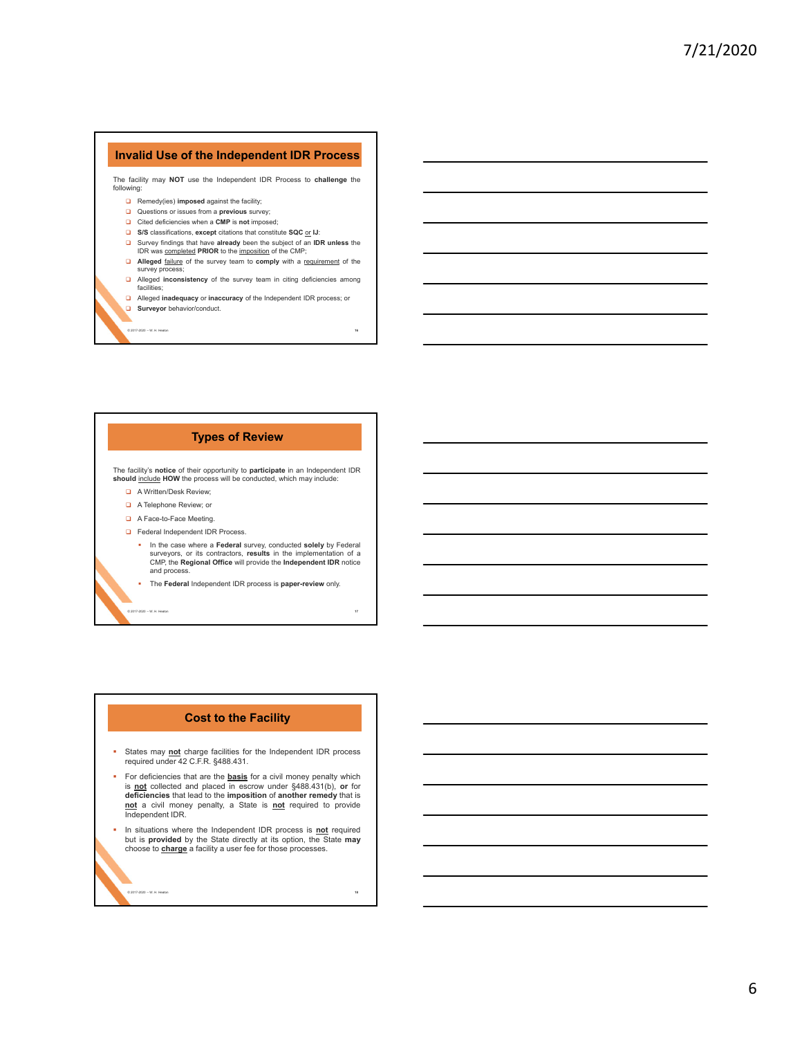## **Invalid Use of the Independent IDR Process**

The facility may **NOT** use the Independent IDR Process to **challenge** the following:

- **a** Remedy(ies) **imposed** against the facility;
- Questions or issues from a **previous** survey;
- Cited deficiencies when a **CMP** is **not** imposed;
- **S/S** classifications, **except** citations that constitute **SQC** or **IJ**:
- Survey findings that have **already** been the subject of an **IDR unless** the IDR was completed **PRIOR** to the imposition of the CMP;
- **Alleged failure** of the survey team to **comply** with a requirement of the survey process;
- **□** Alleged **inconsistency** of the survey team in citing deficiencies among facilities; Alleged **inadequacy** or **inaccuracy** of the Independent IDR process; or
- **Surveyor** behavior/conduct.

© 2017-2020 – W. H. Heaton **16**

### **Types of Review**

The facility's **notice** of their opportunity to **participate** in an Independent IDR should include HOW the process will be conducted, which may include:

- A Written/Desk Review;
- A Telephone Review; or
- A Face-to-Face Meeting.
- **D** Federal Independent IDR Process.
	- In the case where a **Federal** survey, conducted **solely** by Federal<br>surveyors, or its contractors, results in the implementation of a<br>CMP, the **Regional Office** will provide the Independent IDR notice and process.

 The **Federal** Independent IDR process is **paper-review** only. © 2017-2020 – W. H. Heaton **17**

### **Cost to the Facility**

- States may not charge facilities for the Independent IDR process<br>required under 42 C.F.R. §488.431.
- For deficiencies that are the **basis** for a civil money penalty which is **not** collected and placed in escrow under §488.431(b), **or** for **deficiencies** that lead to the **imposition** of **another remedy** that is **not** a civil money penalty, a State is **not** required to provide Independent IDR.
- **In situations where the Independent IDR process is not required** but is **provided** by the State directly at its option, the State **may** choose to **charge** a facility a user fee for those processes.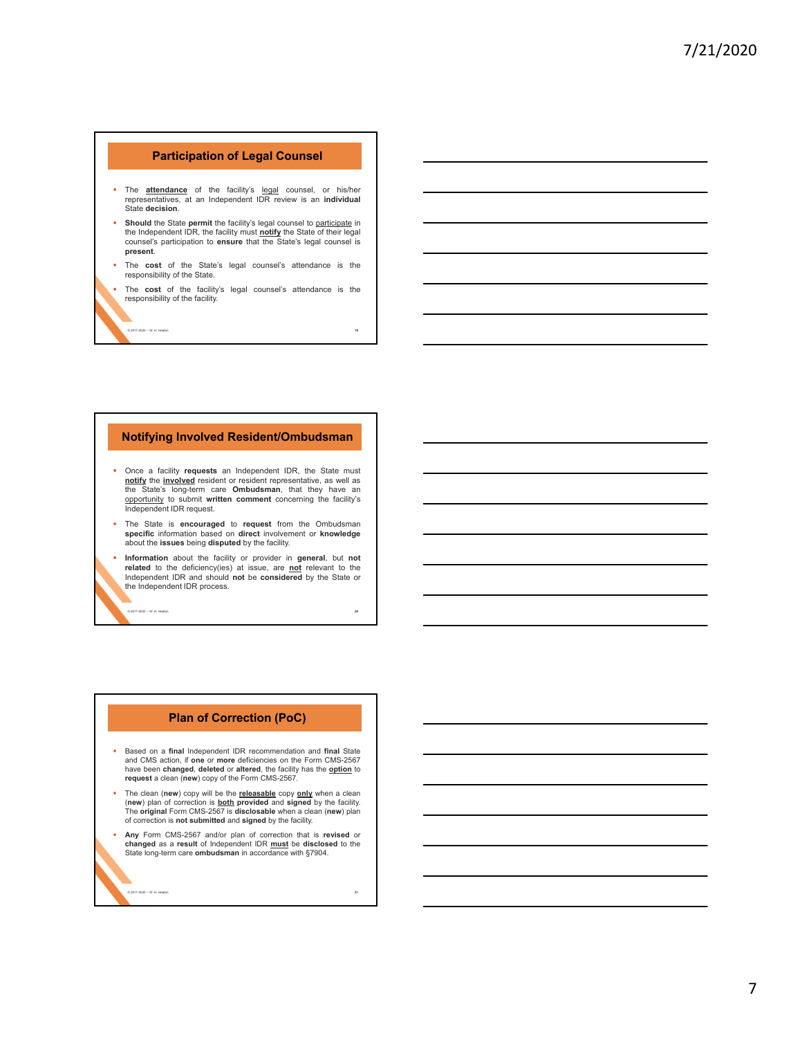# **Participation of Legal Counsel**

- The **attendance** of the facility's legal counsel, or his/her representatives, at an Independent IDR review is an **individual** State **decision**.
- **Should** the State **permit** the facility's legal counsel to participate in the Independent IDR, the facility must **notify** the State of their legal counsel's participation to **ensure** that the State's legal counsel is **present**.
- The **cost** of the State's legal counsel's attendance is the responsibility of the State.

 The **cost** of the facility's legal counsel's attendance is the responsibility of the facility.

© 2017-2020 – W. H. Heaton **19**

### **Notifying Involved Resident/Ombudsman**

- Once a facility **requests** an Independent IDR, the State must **notify** the **involved** resident or resident representative, as well as the State's long-term care **Ombudsman**, that they have an opportunity to submit **written comment** concerning the facility's Independent IDR request.
- The State is **encouraged** to **request** from the Ombudsman **specific** information based on **direct** involvement or **knowledge** about the **issues** being **disputed** by the facility.
- **Information** about the facility or provider in **general**, but **not related** to the deficiency(ies) at issue, are **not** relevant to the Independent IDR and should **not** be **considered** by the State or the Independent IDR process.

## **Plan of Correction (PoC)**

- Based on a **final** Independent IDR recommendation and **final** State and CMS action, if **one** or **more** deficiencies on the Form CMS-2567 have been **changed**, **deleted** or **altered**, the facility has the **option** to **request** a clean (**new**) copy of the Form CMS-2567.
- The clean (**new**) copy will be the <u>releasable</u> copy <u>only</u> when a clean<br>The wiv plan of correction is <u>both</u> provided and signed by the facility.<br>The **original** Form CMS-2567 is **disclosable** when a clean (**new**) plan of correction is **not submitted** and **signed** by the facility.
- **Any** Form CMS-2567 and/or plan of correction that is **revised** or **changed** as a **result** of Independent IDR **must** be **disclosed** to the State long-term care **ombudsman** in accordance with §7904.

© 2017-2020 – W. H. Heaton **21**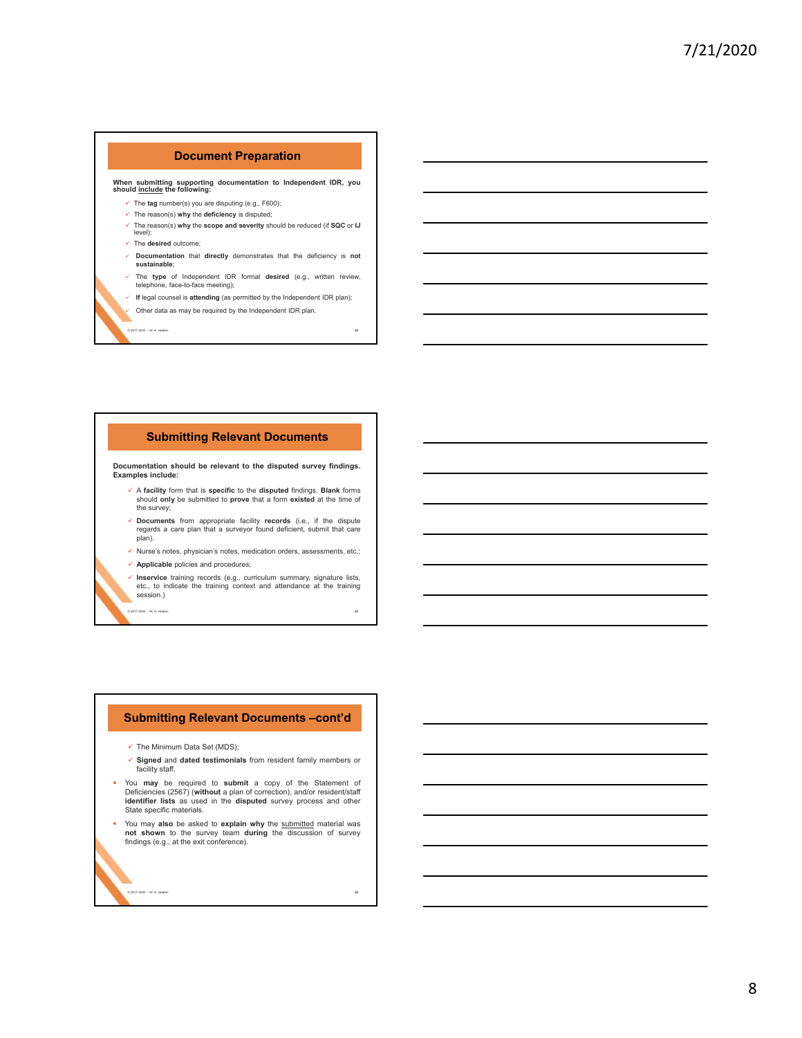# **Document Preparation**

**When submitting supporting documentation to Independent IDR, you should include the following:**

- The **tag** number(s) you are disputing (e.g., F600);
- The reason(s) **why** the **deficiency** is disputed;
- The reason(s) **why** the **scope and severity** should be reduced (if **SQC** or **IJ** level);
- The **desired** outcome;
- **Documentation** that **directly** demonstrates that the deficiency is **not sustainable**;
- The **type** of Independent IDR format **desired** (e.g., written review, telephone, face-to-face meeting);
- **If** legal counsel is **attending** (as permitted by the Independent IDR plan); Other data as may be required by the Independent IDR plan.

© 2017-2020 – W. H. Heaton **22**

### **Submitting Relevant Documents**

**Documentation should be relevant to the disputed survey findings. Examples include:**

- A **facility** form that is **specific** to the **disputed** findings. **Blank** forms should **only** be submitted to **prove** that a form **existed** at the time of the survey;
- **Documents** from appropriate facility **records** (i.e., if the dispute regards a care plan that a surveyor found deficient, submit that care plan).
- $\checkmark$  Nurse's notes, physician's notes, medication orders, assessments, etc.; **Applicable** policies and procedures;
- 
- **Inservice** training records (e.g., curriculum summary, signature lists, etc., to indicate the training context and attendance at the training session.) © 2017-2020 – W. H. Heaton **23**

### **Submitting Relevant Documents –cont'd**

- $\checkmark$  The Minimum Data Set (MDS):
- **Signed** and **dated testimonials** from resident family members or facility staff.
- You **may** be required to **submit** a copy of the Statement of Deficiencies (2567) (**without** a plan of correction), and/or resident/staff **identifier lists** as used in the **disputed** survey process and other State specific materials.
- You may **also** be asked to **explain why** the submitted material was **not shown** to the survey team **during** the discussion of survey findings (e.g., at the exit conference).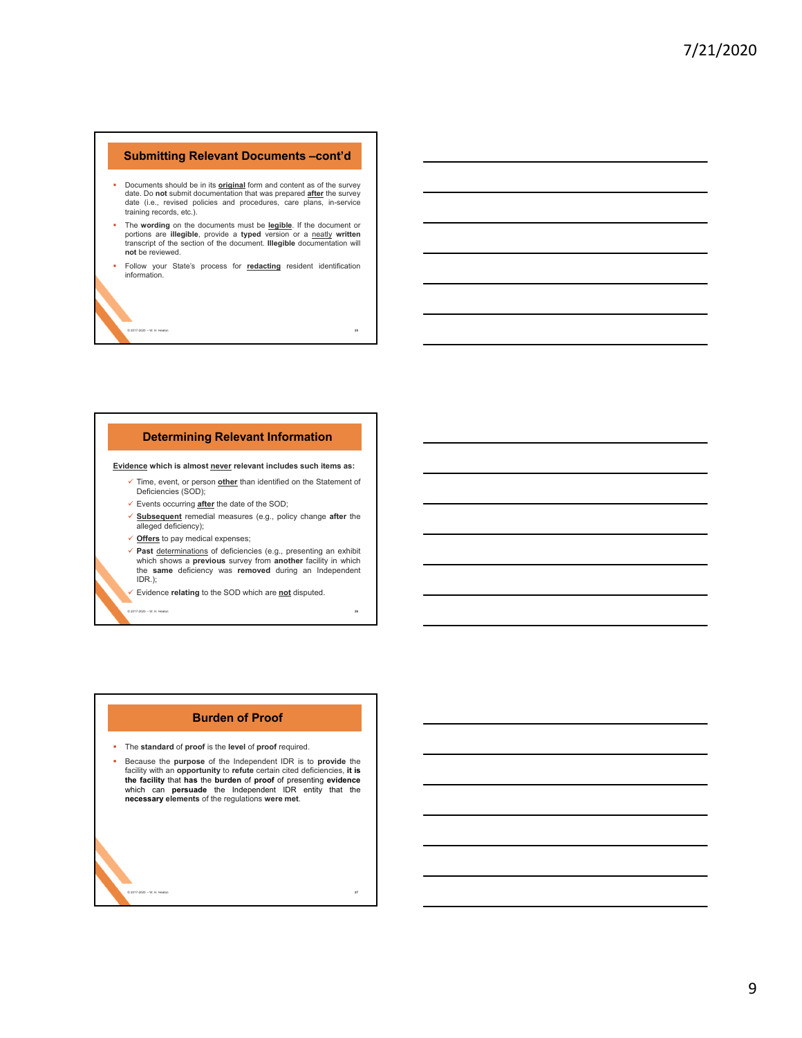### **Submitting Relevant Documents –cont'd**

- Documents should be in its **original** form and content as of the survey date. Do **not** submit documentation that was prepared **after** the survey date (i.e., revised policies and procedures, care plans, in-service training records, etc.).
- The wording on the documents must be legible. If the document or<br>portions are illegible, provide a typed version or a neatly written<br>transcript of the section of the document. Illegible documentation will **not** be reviewed.
- Follow your State's process for **redacting** resident identification information.

© 2017-2020 – W. H. Heaton **25**

# **Determining Relevant Information**

#### **Evidence which is almost never relevant includes such items as:**

- Time, event, or person **other** than identified on the Statement of Deficiencies (SOD);
- Events occurring **after** the date of the SOD;
- **Subsequent** remedial measures (e.g., policy change **after** the alleged deficiency);
- **Offers** to pay medical expenses;
- **Past** determinations of deficiencies (e.g., presenting an exhibit which shows a **previous** survey from **another** facility in which the **same** deficiency was **removed** during an Independent IDR.);

© 2017-2020 – W. H. Heaton **26**

Evidence **relating** to the SOD which are **not** disputed.

#### **Burden of Proof**

- The **standard** of **proof** is the **level** of **proof** required.
- Because the **purpose** of the Independent IDR is to **provide** the facility with an **opportunity** to **refute** certain cited deficiencies, **it is the facility** that **has** the **burden** of **proof** of presenting **evidence** which can **persuade** the Independent IDR entity that the **necessary elements** of the regulations **were met**.